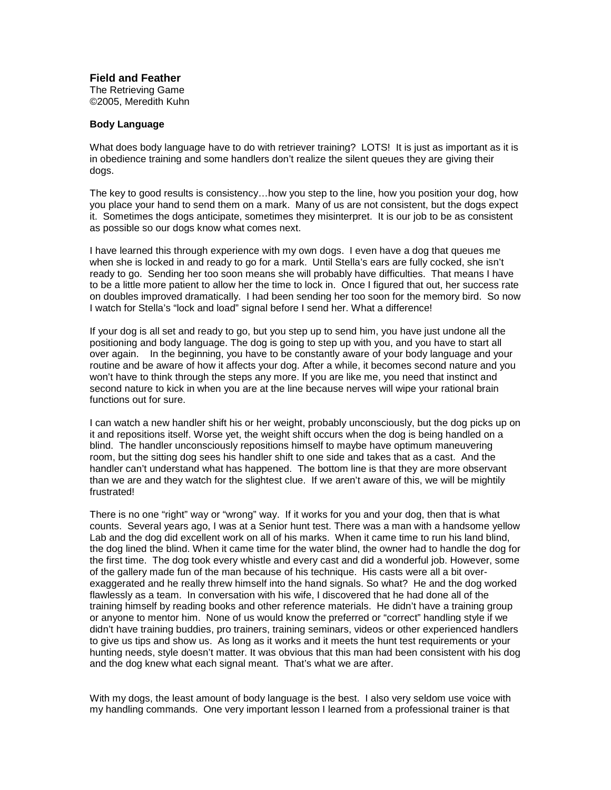**Field and Feather**

The Retrieving Game ©2005, Meredith Kuhn

## **Body Language**

What does body language have to do with retriever training? LOTS! It is just as important as it is in obedience training and some handlers don't realize the silent queues they are giving their dogs.

The key to good results is consistency…how you step to the line, how you position your dog, how you place your hand to send them on a mark. Many of us are not consistent, but the dogs expect it. Sometimes the dogs anticipate, sometimes they misinterpret. It is our job to be as consistent as possible so our dogs know what comes next.

I have learned this through experience with my own dogs. I even have a dog that queues me when she is locked in and ready to go for a mark. Until Stella's ears are fully cocked, she isn't ready to go. Sending her too soon means she will probably have difficulties. That means I have to be a little more patient to allow her the time to lock in. Once I figured that out, her success rate on doubles improved dramatically. I had been sending her too soon for the memory bird. So now I watch for Stella's "lock and load" signal before I send her. What a difference!

If your dog is all set and ready to go, but you step up to send him, you have just undone all the positioning and body language. The dog is going to step up with you, and you have to start all over again. In the beginning, you have to be constantly aware of your body language and your routine and be aware of how it affects your dog. After a while, it becomes second nature and you won't have to think through the steps any more. If you are like me, you need that instinct and second nature to kick in when you are at the line because nerves will wipe your rational brain functions out for sure.

I can watch a new handler shift his or her weight, probably unconsciously, but the dog picks up on it and repositions itself. Worse yet, the weight shift occurs when the dog is being handled on a blind. The handler unconsciously repositions himself to maybe have optimum maneuvering room, but the sitting dog sees his handler shift to one side and takes that as a cast. And the handler can't understand what has happened. The bottom line is that they are more observant than we are and they watch for the slightest clue. If we aren't aware of this, we will be mightily frustrated!

There is no one "right" way or "wrong" way. If it works for you and your dog, then that is what counts. Several years ago, I was at a Senior hunt test. There was a man with a handsome yellow Lab and the dog did excellent work on all of his marks. When it came time to run his land blind, the dog lined the blind. When it came time for the water blind, the owner had to handle the dog for the first time. The dog took every whistle and every cast and did a wonderful job. However, some of the gallery made fun of the man because of his technique. His casts were all a bit overexaggerated and he really threw himself into the hand signals. So what? He and the dog worked flawlessly as a team. In conversation with his wife, I discovered that he had done all of the training himself by reading books and other reference materials. He didn't have a training group or anyone to mentor him. None of us would know the preferred or "correct" handling style if we didn't have training buddies, pro trainers, training seminars, videos or other experienced handlers to give us tips and show us. As long as it works and it meets the hunt test requirements or your hunting needs, style doesn't matter. It was obvious that this man had been consistent with his dog and the dog knew what each signal meant. That's what we are after.

With my dogs, the least amount of body language is the best. I also very seldom use voice with my handling commands. One very important lesson I learned from a professional trainer is that